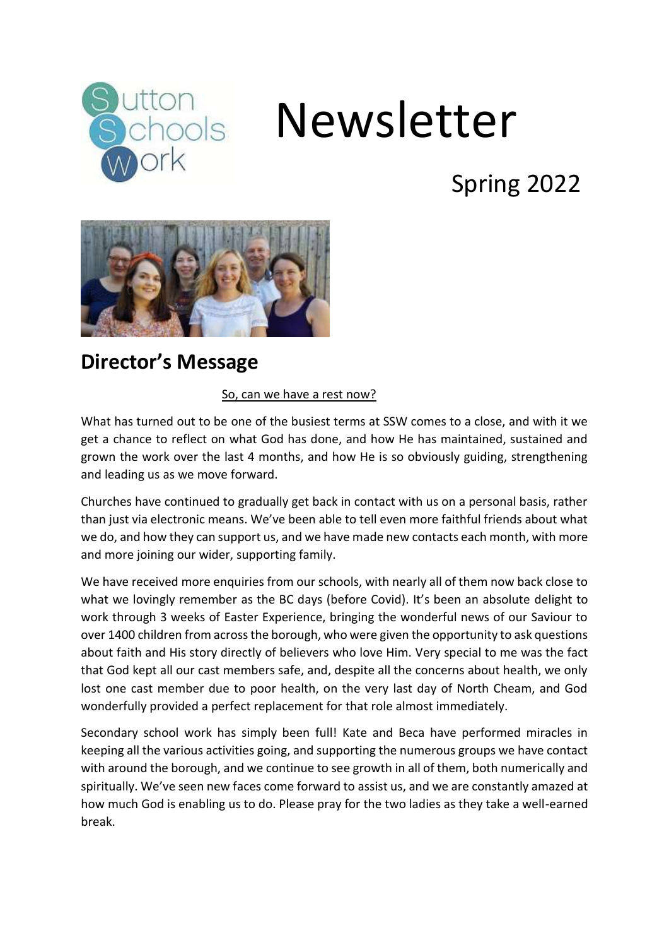

# Newsletter

## Spring 2022



#### **Director's Message**

#### So, can we have a rest now?

What has turned out to be one of the busiest terms at SSW comes to a close, and with it we get a chance to reflect on what God has done, and how He has maintained, sustained and grown the work over the last 4 months, and how He is so obviously guiding, strengthening and leading us as we move forward.

Churches have continued to gradually get back in contact with us on a personal basis, rather than just via electronic means. We've been able to tell even more faithful friends about what we do, and how they can support us, and we have made new contacts each month, with more and more joining our wider, supporting family.

We have received more enquiries from our schools, with nearly all of them now back close to what we lovingly remember as the BC days (before Covid). It's been an absolute delight to work through 3 weeks of Easter Experience, bringing the wonderful news of our Saviour to over 1400 children from across the borough, who were given the opportunity to ask questions about faith and His story directly of believers who love Him. Very special to me was the fact that God kept all our cast members safe, and, despite all the concerns about health, we only lost one cast member due to poor health, on the very last day of North Cheam, and God wonderfully provided a perfect replacement for that role almost immediately.

Secondary school work has simply been full! Kate and Beca have performed miracles in keeping all the various activities going, and supporting the numerous groups we have contact with around the borough, and we continue to see growth in all of them, both numerically and spiritually. We've seen new faces come forward to assist us, and we are constantly amazed at how much God is enabling us to do. Please pray for the two ladies as they take a well-earned break.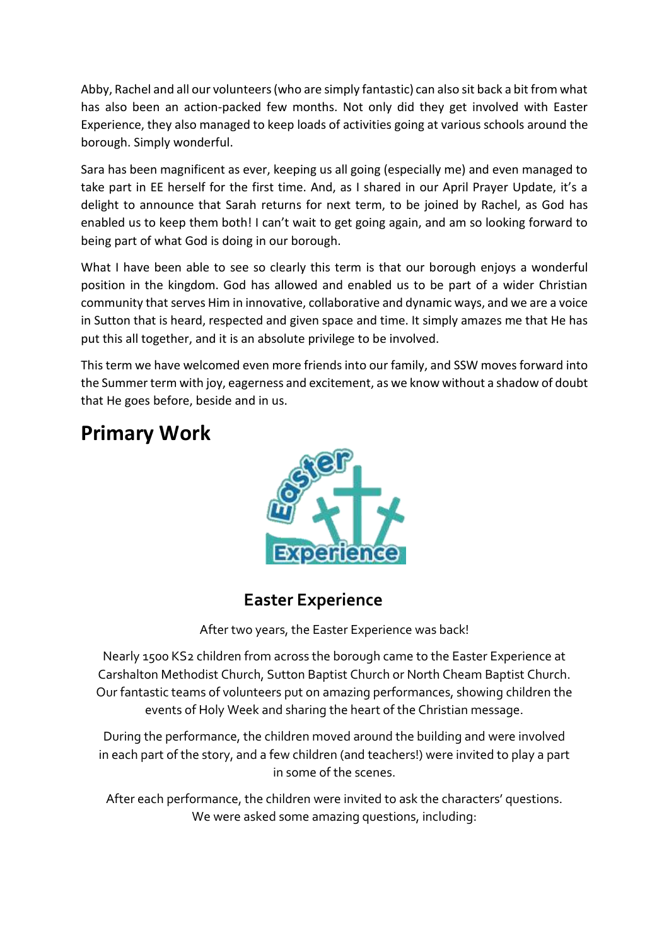Abby, Rachel and all our volunteers (who are simply fantastic) can also sit back a bit from what has also been an action-packed few months. Not only did they get involved with Easter Experience, they also managed to keep loads of activities going at various schools around the borough. Simply wonderful.

Sara has been magnificent as ever, keeping us all going (especially me) and even managed to take part in EE herself for the first time. And, as I shared in our April Prayer Update, it's a delight to announce that Sarah returns for next term, to be joined by Rachel, as God has enabled us to keep them both! I can't wait to get going again, and am so looking forward to being part of what God is doing in our borough.

What I have been able to see so clearly this term is that our borough enjoys a wonderful position in the kingdom. God has allowed and enabled us to be part of a wider Christian community that serves Him in innovative, collaborative and dynamic ways, and we are a voice in Sutton that is heard, respected and given space and time. It simply amazes me that He has put this all together, and it is an absolute privilege to be involved.

This term we have welcomed even more friends into our family, and SSW moves forward into the Summer term with joy, eagerness and excitement, as we know without a shadow of doubt that He goes before, beside and in us.

#### **Primary Work**



#### **Easter Experience**

After two years, the Easter Experience was back!

Nearly 1500 KS2 children from across the borough came to the Easter Experience at Carshalton Methodist Church, Sutton Baptist Church or North Cheam Baptist Church. Our fantastic teams of volunteers put on amazing performances, showing children the events of Holy Week and sharing the heart of the Christian message.

During the performance, the children moved around the building and were involved in each part of the story, and a few children (and teachers!) were invited to play a part in some of the scenes.

After each performance, the children were invited to ask the characters' questions. We were asked some amazing questions, including: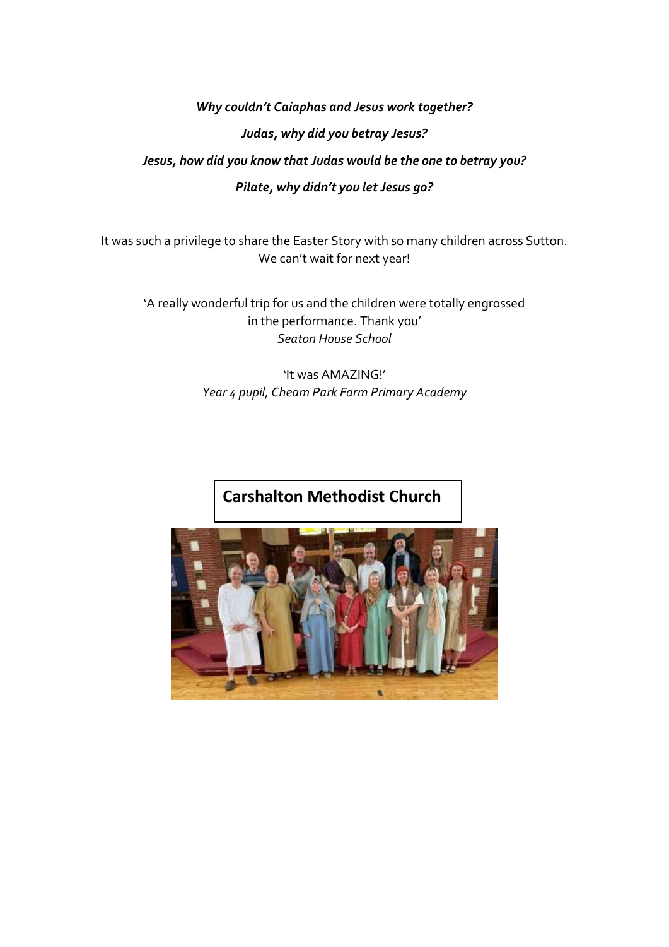*Why couldn't Caiaphas and Jesus work together? Judas, why did you betray Jesus?* 

#### *Jesus, how did you know that Judas would be the one to betray you? Pilate, why didn't you let Jesus go?*

It was such a privilege to share the Easter Story with so many children across Sutton. We can't wait for next year!

'A really wonderful trip for us and the children were totally engrossed in the performance. Thank you' *Seaton House School*

> 'It was AMAZING!' *Year 4 pupil, Cheam Park Farm Primary Academy*

#### **Carshalton Methodist Church**

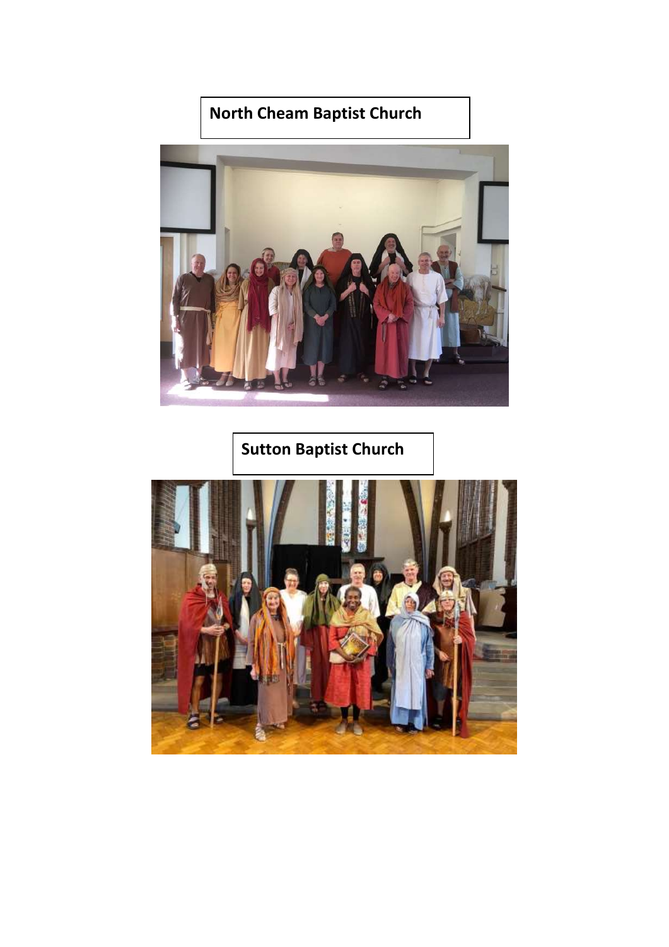#### **North Cheam Baptist Church**



**Sutton Baptist Church**

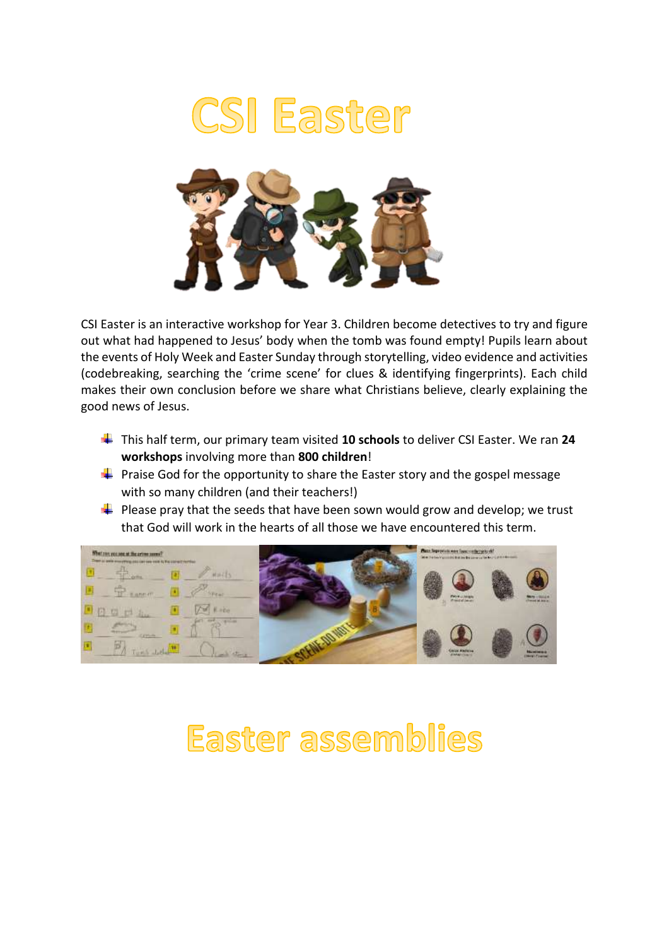



CSI Easter is an interactive workshop for Year 3. Children become detectives to try and figure out what had happened to Jesus' body when the tomb was found empty! Pupils learn about the events of Holy Week and Easter Sunday through storytelling, video evidence and activities (codebreaking, searching the 'crime scene' for clues & identifying fingerprints). Each child makes their own conclusion before we share what Christians believe, clearly explaining the good news of Jesus.

- This half term, our primary team visited **10 schools** to deliver CSI Easter. We ran **24 workshops** involving more than **800 children**!
- $\ddot{+}$  Praise God for the opportunity to share the Easter story and the gospel message with so many children (and their teachers!)
- $\downarrow$  Please pray that the seeds that have been sown would grow and develop; we trust that God will work in the hearts of all those we have encountered this term.



## Easter assemblies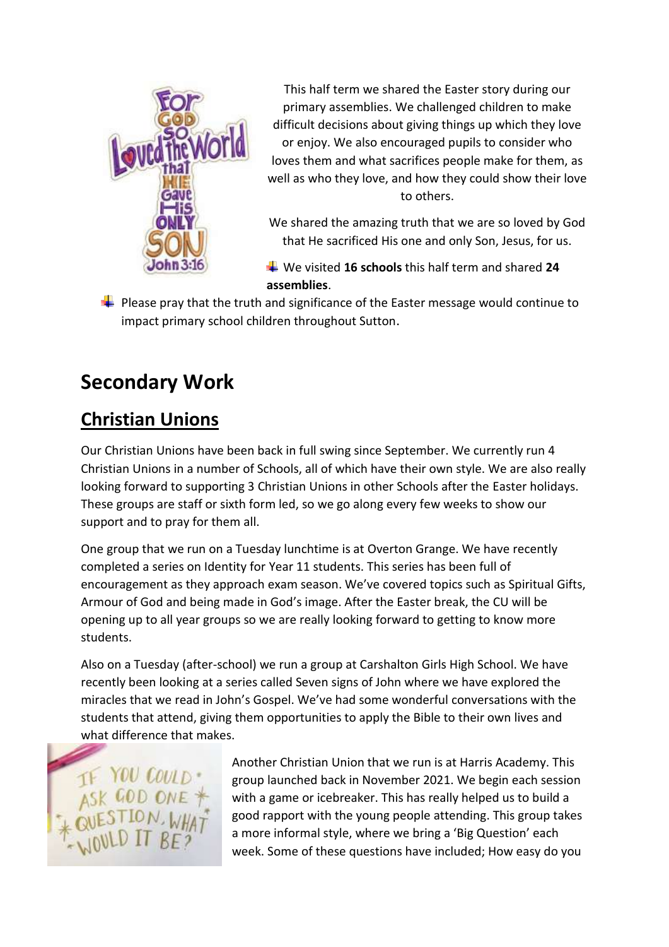

This half term we shared the Easter story during our primary assemblies. We challenged children to make difficult decisions about giving things up which they love or enjoy. We also encouraged pupils to consider who loves them and what sacrifices people make for them, as well as who they love, and how they could show their love to others.

We shared the amazing truth that we are so loved by God that He sacrificed His one and only Son, Jesus, for us.

We visited **16 schools** this half term and shared **24 assemblies**.

 $\downarrow$  Please pray that the truth and significance of the Easter message would continue to impact primary school children throughout Sutton.

### **Secondary Work**

#### **Christian Unions**

Our Christian Unions have been back in full swing since September. We currently run 4 Christian Unions in a number of Schools, all of which have their own style. We are also really looking forward to supporting 3 Christian Unions in other Schools after the Easter holidays. These groups are staff or sixth form led, so we go along every few weeks to show our support and to pray for them all.

One group that we run on a Tuesday lunchtime is at Overton Grange. We have recently completed a series on Identity for Year 11 students. This series has been full of encouragement as they approach exam season. We've covered topics such as Spiritual Gifts, Armour of God and being made in God's image. After the Easter break, the CU will be opening up to all year groups so we are really looking forward to getting to know more students.

Also on a Tuesday (after-school) we run a group at Carshalton Girls High School. We have recently been looking at a series called Seven signs of John where we have explored the miracles that we read in John's Gospel. We've had some wonderful conversations with the students that attend, giving them opportunities to apply the Bible to their own lives and what difference that makes.



Another Christian Union that we run is at Harris Academy. This group launched back in November 2021. We begin each session with a game or icebreaker. This has really helped us to build a good rapport with the young people attending. This group takes a more informal style, where we bring a 'Big Question' each week. Some of these questions have included; How easy do you